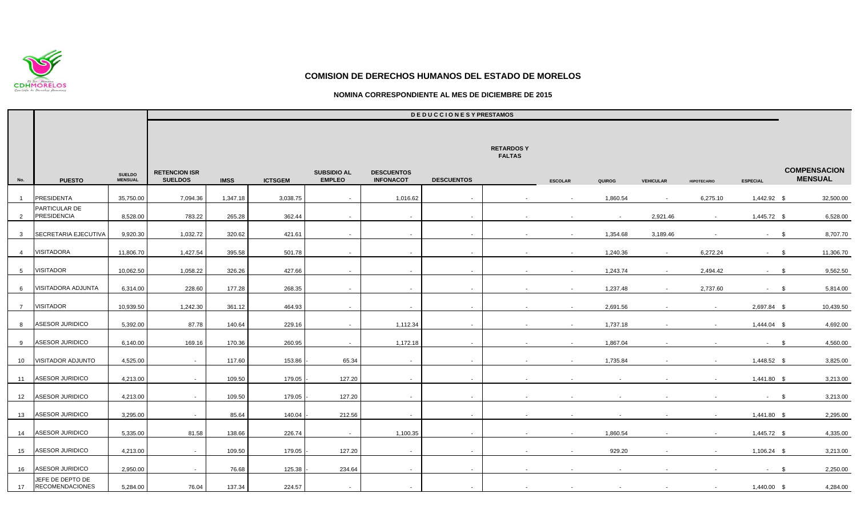

### **NOMINA CORRESPONDIENTE AL MES DE DICIEMBRE DE 2015**

|                 |                                            |                                 | <b>DEDUCCIONESYPRESTAMOS</b>           |             |                |                                     |                                       |                   |                                   |                |          |                  |                    |                 |                                       |
|-----------------|--------------------------------------------|---------------------------------|----------------------------------------|-------------|----------------|-------------------------------------|---------------------------------------|-------------------|-----------------------------------|----------------|----------|------------------|--------------------|-----------------|---------------------------------------|
|                 |                                            |                                 |                                        |             |                |                                     |                                       |                   | <b>RETARDOSY</b><br><b>FALTAS</b> |                |          |                  |                    |                 |                                       |
| No.             | <b>PUESTO</b>                              | <b>SUELDO</b><br><b>MENSUAL</b> | <b>RETENCION ISR</b><br><b>SUELDOS</b> | <b>IMSS</b> | <b>ICTSGEM</b> | <b>SUBSIDIO AL</b><br><b>EMPLEO</b> | <b>DESCUENTOS</b><br><b>INFONACOT</b> | <b>DESCUENTOS</b> |                                   | <b>ESCOLAR</b> | QUIROG   | <b>VEHICULAR</b> | <b>HIPOTECARIO</b> | <b>ESPECIAL</b> | <b>COMPENSACION</b><br><b>MENSUAL</b> |
| $\overline{1}$  | <b>PRESIDENTA</b>                          | 35,750.00                       | 7,094.36                               | 1,347.18    | 3,038.75       | $\sim$                              | 1,016.62                              | $\sim$ $-$        |                                   | $\sim$         | 1,860.54 | $\sim$           | 6,275.10           | 1,442.92 \$     | 32,500.00                             |
| $\overline{2}$  | PARTICULAR DE<br><b>PRESIDENCIA</b>        | 8,528.00                        | 783.22                                 | 265.28      | 362.44         | $\sim$                              | $\sim$                                | $\sim$            | $\sim$                            | $\sim$         | $\sim$   | 2,921.46         | $\sim$             | 1,445.72 \$     | 6,528.00                              |
| $\mathbf{3}$    | SECRETARIA EJECUTIVA                       | 9,920.30                        | 1,032.72                               | 320.62      | 421.61         | $\sim$                              | $\sim$                                | $\sim$ $-$        | $\sim$                            | $\sim$         | 1,354.68 | 3,189.46         |                    | $-$ \$          | 8,707.70                              |
| $\overline{4}$  | <b>VISITADORA</b>                          | 11,806.70                       | 1,427.54                               | 395.58      | 501.78         | $\sim$                              | $\sim$                                | $\sim$ $-$        | $\sim$                            | $\sim$         | 1,240.36 | $\sim$           | 6,272.24           | $-$ \$          | 11,306.70                             |
| 5 <sup>5</sup>  | VISITADOR                                  | 10,062.50                       | 1,058.22                               | 326.26      | 427.66         | $\sim$                              | $\sim$                                | $\sim$ $-$        | $\sim$                            | $\sim$         | 1,243.74 | $\sim$           | 2,494.42           | $-$ \$          | 9,562.50                              |
| 6               | VISITADORA ADJUNTA                         | 6,314.00                        | 228.60                                 | 177.28      | 268.35         | $\sim$                              | $\sim$                                | $\sim$            | $\sim$                            | $\sim$         | 1,237.48 | $\sim$           | 2,737.60           | $-$ \$          | 5,814.00                              |
| $7\overline{ }$ | VISITADOR                                  | 10,939.50                       | 1,242.30                               | 361.12      | 464.93         | $\sim$                              | $\sim$                                | $\sim$            | $\sim$                            | $\sim$         | 2,691.56 |                  | $\sim$             | 2,697.84 \$     | 10,439.50                             |
| 8               | ASESOR JURIDICO                            | 5,392.00                        | 87.78                                  | 140.64      | 229.16         | $\sim$                              | 1,112.34                              | $\sim$            | $\sim$                            | $\sim$         | 1,737.18 |                  | $\sim$             | 1,444.04 \$     | 4,692.00                              |
| 9               | ASESOR JURIDICO                            | 6,140.00                        | 169.16                                 | 170.36      | 260.95         | $\sim$                              | 1,172.18                              | $\sim$            | $\sim$                            | $\sim$         | 1,867.04 |                  |                    | $-$ \$          | 4,560.00                              |
| 10              | VISITADOR ADJUNTO                          | 4,525.00                        | $\sim$                                 | 117.60      | 153.86         | 65.34                               | $\sim$                                | $\sim$            |                                   | $\sim$         | 1,735.84 |                  |                    | 1,448.52 \$     | 3,825.00                              |
| 11              | ASESOR JURIDICO                            | 4,213.00                        | $\sim$                                 | 109.50      | 179.05         | 127.20                              | $\sim$                                | $\sim$            | $\sim$                            |                |          |                  |                    | 1,441.80 \$     | 3,213.00                              |
| 12              | ASESOR JURIDICO                            | 4,213.00                        | $\sim$                                 | 109.50      | 179.05         | 127.20                              | $\sim$                                | $\sim$            | $\sim$                            |                |          |                  |                    | $-$ \$          | 3,213.00                              |
| 13              | ASESOR JURIDICO                            | 3,295.00                        | $\sim$                                 | 85.64       | 140.04         | 212.56                              | $\sim$                                | $\sim$            | $\sim$                            | $\sim$         |          |                  | $\sim$             | 1,441.80 \$     | 2,295.00                              |
| 14              | <b>ASESOR JURIDICO</b>                     | 5,335.00                        | 81.58                                  | 138.66      | 226.74         | $\sim$                              | 1,100.35                              | $\sim$            | $\sim$                            | $\sim$         | 1,860.54 |                  |                    | 1,445.72 \$     | 4,335.00                              |
| 15              | <b>ASESOR JURIDICO</b>                     | 4,213.00                        | $\sim$                                 | 109.50      | 179.05         | 127.20                              | $\sim$                                | $\sim$            | $\sim$                            | $\sim$         | 929.20   |                  |                    | $1,106.24$ \$   | 3,213.00                              |
| 16              | ASESOR JURIDICO                            | 2,950.00                        | $\sim$                                 | 76.68       | 125.38         | 234.64                              | $\sim$                                | $\sim$            | $\sim$                            |                |          |                  |                    | $-$ \$          | 2,250.00                              |
| 17              | JEFE DE DEPTO DE<br><b>RECOMENDACIONES</b> | 5,284.00                        | 76.04                                  | 137.34      | 224.57         | $\sim$                              | $\sim$                                | $\sim$            | $\sim$                            | $\sim$         | $\sim$   | $\sim$           | $\sim$             | 1,440.00 \$     | 4,284.00                              |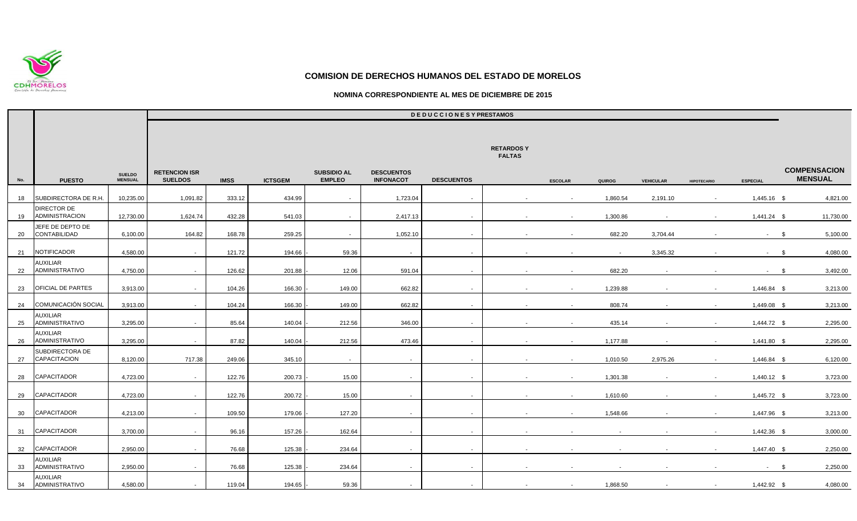

### **NOMINA CORRESPONDIENTE AL MES DE DICIEMBRE DE 2015**

|     |                                          |                                 |                                        |             |                |                                     |                                       | <b>DEDUCCIONESYPRESTAMOS</b> |                                   |                          |          |                  |                    |                 |                                       |
|-----|------------------------------------------|---------------------------------|----------------------------------------|-------------|----------------|-------------------------------------|---------------------------------------|------------------------------|-----------------------------------|--------------------------|----------|------------------|--------------------|-----------------|---------------------------------------|
|     |                                          |                                 |                                        |             |                |                                     |                                       |                              | <b>RETARDOSY</b><br><b>FALTAS</b> |                          |          |                  |                    |                 |                                       |
| No. | <b>PUESTO</b>                            | <b>SUELDO</b><br><b>MENSUAL</b> | <b>RETENCION ISR</b><br><b>SUELDOS</b> | <b>IMSS</b> | <b>ICTSGEM</b> | <b>SUBSIDIO AL</b><br><b>EMPLEO</b> | <b>DESCUENTOS</b><br><b>INFONACOT</b> | <b>DESCUENTOS</b>            |                                   | <b>ESCOLAR</b>           | QUIROG   | <b>VEHICULAR</b> | <b>HIPOTECARIO</b> | <b>ESPECIAL</b> | <b>COMPENSACION</b><br><b>MENSUAL</b> |
| 18  | SUBDIRECTORA DE R.H                      | 10,235.00                       | 1,091.82                               | 333.12      | 434.99         | $\sim$                              | 1,723.04                              | $\sim$                       |                                   | $\sim$                   | 1,860.54 | 2,191.10         |                    | 1,445.16 \$     | 4,821.00                              |
| 19  | <b>DIRECTOR DE</b><br>ADMINISTRACION     | 12,730.00                       | 1,624.74                               | 432.28      | 541.03         | $\sim$                              | 2,417.13                              | $\sim$                       |                                   | $\sim$                   | 1,300.86 |                  |                    | $1,441.24$ \$   | 11,730.00                             |
| 20  | JEFE DE DEPTO DE<br>CONTABILIDAD         | 6,100.00                        | 164.82                                 | 168.78      | 259.25         | $\sim$                              | 1,052.10                              | $\sim$                       |                                   | $\sim$                   | 682.20   | 3,704.44         |                    | $\sim 100$      | 5,100.00<br>- \$                      |
| 21  | NOTIFICADOR                              | 4,580.00                        | $\sim$                                 | 121.72      | 194.66         | 59.36                               | $\sim$                                | $\sim$                       |                                   |                          | $\sim$   | 3,345.32         |                    | $-5$            | 4,080.00                              |
| 22  | AUXILIAR<br>ADMINISTRATIVO               | 4,750.00                        | $\sim$                                 | 126.62      | 201.88         | 12.06                               | 591.04                                | $\sim$                       | $\sim$                            | $\sim$                   | 682.20   |                  |                    | $-5$            | 3,492.00                              |
| 23  | OFICIAL DE PARTES                        | 3,913.00                        | $\sim$                                 | 104.26      | 166.30         | 149.00                              | 662.82                                | $\sim$                       | $\sim$                            | $\sim$                   | 1,239.88 |                  | $\sim$             | 1,446.84 \$     | 3,213.00                              |
| 24  | <b>COMUNICACIÓN SOCIAL</b>               | 3,913.00                        | $\sim$                                 | 104.24      | 166.30         | 149.00                              | 662.82                                | $\sim$                       | $\sim$                            | $\sim$                   | 808.74   |                  | $\sim$             | 1,449.08 \$     | 3,213.00                              |
| 25  | <b>AUXILIAR</b><br><b>ADMINISTRATIVO</b> | 3,295.00                        | $\sim$                                 | 85.64       | 140.04         | 212.56                              | 346.00                                | $\sim$                       | $\sim$                            | $\sim$                   | 435.14   | $\sim$           | $\sim$             | 1,444.72 \$     | 2,295.00                              |
| 26  | AUXILIAR<br>ADMINISTRATIVO               | 3,295.00                        | $\sim$                                 | 87.82       | 140.04         | 212.56                              | 473.46                                | $\sim$                       |                                   | $\sim$                   | 1,177.88 |                  |                    | 1,441.80 \$     | 2,295.00                              |
| 27  | SUBDIRECTORA DE<br>CAPACITACION          | 8,120.00                        | 717.38                                 | 249.06      | 345.10         | $\sim$                              | $\sim$                                | $\sim$                       |                                   | $\sim$                   | 1,010.50 | 2,975.26         | $\sim$             | 1,446.84 \$     | 6,120.00                              |
| 28  | CAPACITADOR                              | 4,723.00                        | $\sim$                                 | 122.76      | 200.73         | 15.00                               | $\sim$                                | $\sim$                       |                                   | $\sim$                   | 1,301.38 |                  |                    | $1,440.12$ \$   | 3,723.00                              |
| 29  | CAPACITADOR                              | 4,723.00                        | $\sim$                                 | 122.76      | 200.72         | 15.00                               | $\sim$                                | $\sim$                       | $\sim$                            | $\overline{\phantom{a}}$ | 1,610.60 |                  |                    | 1,445.72 \$     | 3,723.00                              |
| 30  | CAPACITADOR                              | 4,213.00                        | $\sim$                                 | 109.50      | 179.06         | 127.20                              |                                       | $\sim$                       |                                   |                          | 1,548.66 |                  |                    | 1,447.96 \$     | 3,213.00                              |
| 31  | <b>CAPACITADOR</b>                       | 3,700.00                        | $\sim$                                 | 96.16       | 157.26         | 162.64                              | $\sim$                                | $\sim$                       |                                   |                          | $\sim$   |                  |                    | 1,442.36 \$     | 3,000.00                              |
| 32  | <b>CAPACITADOR</b>                       | 2,950.00                        | $\sim$                                 | 76.68       | 125.38         | 234.64                              | $\sim$                                | $\sim$                       |                                   |                          |          |                  |                    | 1,447.40 \$     | 2,250.00                              |
| 33  | AUXILIAR<br><b>ADMINISTRATIVO</b>        | 2,950.00                        | $\sim$                                 | 76.68       | 125.38         | 234.64                              | $\sim$                                | $\sim$                       | $\sim$                            | $\sim$                   | $\sim$   |                  |                    | $-5$            | 2,250.00                              |
| 34  | AUXILIAR<br><b>ADMINISTRATIVO</b>        | 4,580.00                        | $\sim$                                 | 119.04      | 194.65         | 59.36                               | $\sim$                                | $\sim$                       | $\sim$                            | $\sim$                   | 1,868.50 | $\sim$           | $\sim$             | 1,442.92 \$     | 4,080.00                              |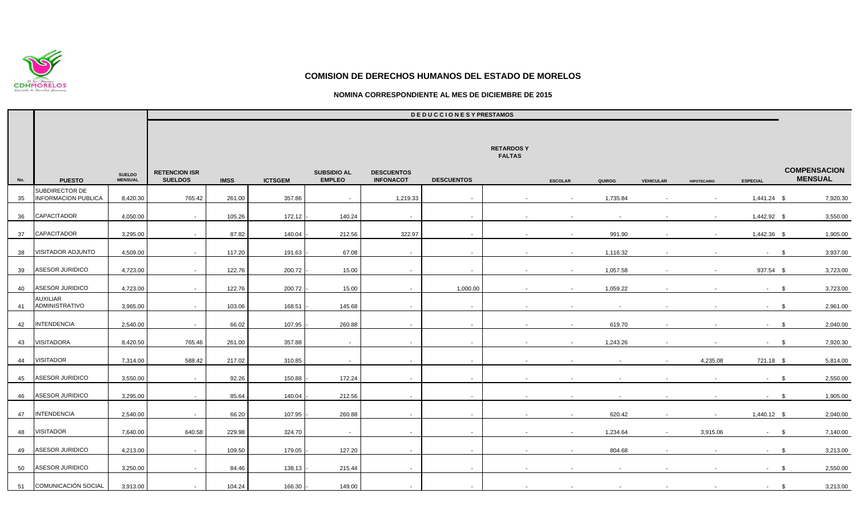

### **NOMINA CORRESPONDIENTE AL MES DE DICIEMBRE DE 2015**

|     |                                              |                                 | <b>DEDUCCIONESYPRESTAMOS</b>           |             |                |                                     |                                       |                   |                                   |                          |          |                  |                    |                 |                                       |
|-----|----------------------------------------------|---------------------------------|----------------------------------------|-------------|----------------|-------------------------------------|---------------------------------------|-------------------|-----------------------------------|--------------------------|----------|------------------|--------------------|-----------------|---------------------------------------|
|     |                                              |                                 |                                        |             |                |                                     |                                       |                   | <b>RETARDOSY</b><br><b>FALTAS</b> |                          |          |                  |                    |                 |                                       |
| No. | <b>PUESTO</b>                                | <b>SUELDO</b><br><b>MENSUAL</b> | <b>RETENCION ISR</b><br><b>SUELDOS</b> | <b>IMSS</b> | <b>ICTSGEM</b> | <b>SUBSIDIO AL</b><br><b>EMPLEO</b> | <b>DESCUENTOS</b><br><b>INFONACOT</b> | <b>DESCUENTOS</b> |                                   | <b>ESCOLAR</b>           | QUIROG   | <b>VEHICULAR</b> | <b>HIPOTECARIO</b> | <b>ESPECIAL</b> | <b>COMPENSACION</b><br><b>MENSUAL</b> |
| 35  | SUBDIRECTOR DE<br><b>INFORMACION PUBLICA</b> | 8,420.30                        | 765.42                                 | 261.00      | 357.86         | $\sim$                              | 1,219.33                              | $\sim$            |                                   | $\sim$                   | 1,735.84 |                  |                    | $1,441.24$ \$   | 7,920.30                              |
| 36  | <b>CAPACITADOR</b>                           | 4,050.00                        | $\sim$                                 | 105.26      | 172.12         | 140.24                              | $\sim$                                | $\sim$            | $\sim$                            | $\overline{\phantom{a}}$ |          |                  |                    | 1,442.92 \$     | 3,550.00                              |
| 37  | <b>CAPACITADOR</b>                           | 3,295.00                        | $\sim$                                 | 87.82       | 140.04         | 212.56                              | 322.97                                | $\sim$ $-$        | $\sim$                            | $\sim$                   | 991.90   |                  |                    | 1,442.36 \$     | 1,905.00                              |
| 38  | VISITADOR ADJUNTO                            | 4,509.00                        | $\sim$                                 | 117.20      | 191.63         | 67.08                               | $\sim$                                | $\sim$            | $\sim$                            | $\sim$                   | 1,116.32 |                  |                    | $-$ \$          | 3,937.00                              |
| 39  | ASESOR JURIDICO                              | 4,723.00                        | $\sim$                                 | 122.76      | 200.72         | 15.00                               | $\sim$                                | $\sim$            | $\sim$                            | $\sim$                   | 1,057.58 |                  |                    | 937.54 \$       | 3,723.00                              |
| 40  | ASESOR JURIDICO                              | 4,723.00                        | $\sim$                                 | 122.76      | 200.72         | 15.00                               | $\sim$                                | 1,000.00          | $\sim$                            | $\sim$                   | 1,059.22 |                  |                    | $\sim 100$      | 3,723.00<br>\$                        |
| 41  | AUXILIAR<br>ADMINISTRATIVO                   | 3,965.00                        | $\sim$                                 | 103.06      | 168.51         | 145.68                              | $\sim$                                | $\sim$            |                                   |                          |          |                  |                    | $-$ \$          | 2,961.00                              |
| 42  | <b>INTENDENCIA</b>                           | 2,540.00                        | $\sim$                                 | 66.02       | 107.95         | 260.88                              | $\sim$                                | $\sim$            | $\sim$                            | $\sim$                   | 619.70   |                  |                    | $-$ \$          | 2,040.00                              |
| 43  | VISITADORA                                   | 8,420.50                        | 765.46                                 | 261.00      | 357.88         | $\sim$                              | $\sim$                                | $\sim$            | $\sim$                            | $\sim$                   | 1,243.26 |                  |                    | $\sim 100$      | 7,920.30<br>- \$                      |
| 44  | <b>VISITADOR</b>                             | 7,314.00                        | 588.42                                 | 217.02      | 310.85         | $\sim$                              | $\sim$                                | $\sim$            | $\sim$                            |                          |          |                  | 4,235.08           | 721.18 \$       | 5,814.00                              |
| 45  | <b>ASESOR JURIDICO</b>                       | 3,550.00                        | $\sim$                                 | 92.26       | 150.88         | 172.24                              | $\sim$                                | $\sim$            | $\sim$                            |                          |          |                  |                    | $-$ \$          | 2,550.00                              |
| 46  | ASESOR JURIDICO                              | 3,295.00                        | $\sim$                                 | 85.64       | 140.04         | 212.56                              | $\sim$                                | $\sim$            | $\sim$                            | $\sim$                   | $\sim$   |                  |                    | $-$ \$          | 1,905.00                              |
| 47  | <b>INTENDENCIA</b>                           | 2,540.00                        | $\sim$                                 | 66.20       | 107.95         | 260.88                              | $\sim$                                | $\sim$            | $\sim$                            | $\sim$                   | 620.42   |                  |                    | 1,440.12 \$     | 2,040.00                              |
| 48  | <b>VISITADOR</b>                             | 7,640.00                        | 640.58                                 | 229.98      | 324.70         | $\sim$                              | $\sim$                                | $\sim$            | $\sim$                            | $\sim$                   | 1,234.64 | $\sim$           | 3,915.06           | $-$ \$          | 7,140.00                              |
| 49  | ASESOR JURIDICO                              | 4,213.00                        | $\sim$                                 | 109.50      | 179.05         | 127.20                              | $\sim$                                | $\sim$            | $\sim$                            | $\sim$                   | 804.68   |                  |                    | $\sim 100$      | 3,213.00<br>- \$                      |
| 50  | ASESOR JURIDICO                              | 3,250.00                        | $\sim$                                 | 84.46       | 138.13         | 215.44                              | $\sim$                                | $\sim$            | $\sim$                            |                          |          |                  |                    | $-$ \$          | 2,550.00                              |
| 51  | <b>COMUNICACIÓN SOCIAL</b>                   | 3,913.00                        | $\sim$                                 | 104.24      | 166.30         | 149.00                              | $\sim$ $-$                            | $\sim$ $-$        | $\sim$                            |                          |          |                  |                    | $-$ \$          | 3,213.00                              |